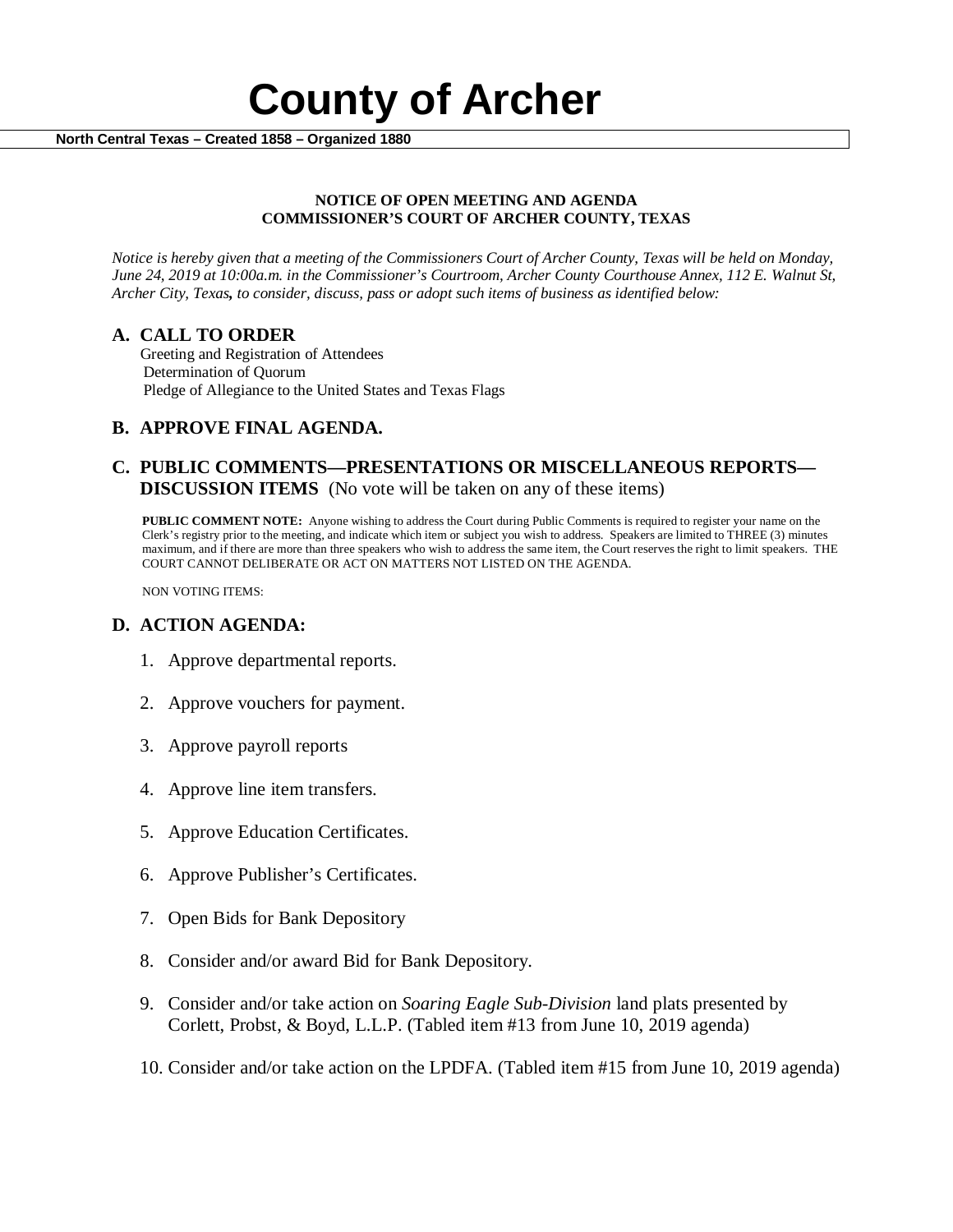

#### **NOTICE OF OPEN MEETING AND AGENDA COMMISSIONER'S COURT OF ARCHER COUNTY, TEXAS**

*Notice is hereby given that a meeting of the Commissioners Court of Archer County, Texas will be held on Monday, June 24, 2019 at 10:00a.m. in the Commissioner's Courtroom, Archer County Courthouse Annex, 112 E. Walnut St, Archer City, Texas, to consider, discuss, pass or adopt such items of business as identified below:*

**A. CALL TO ORDER** Greeting and Registration of Attendees Determination of Quorum Pledge of Allegiance to the United States and Texas Flags

# **B. APPROVE FINAL AGENDA.**

# **C. PUBLIC COMMENTS—PRESENTATIONS OR MISCELLANEOUS REPORTS— DISCUSSION ITEMS** (No vote will be taken on any of these items)

**PUBLIC COMMENT NOTE:** Anyone wishing to address the Court during Public Comments is required to register your name on the Clerk's registry prior to the meeting, and indicate which item or subject you wish to address. Speakers are limited to THREE (3) minutes maximum, and if there are more than three speakers who wish to address the same item, the Court reserves the right to limit speakers. THE COURT CANNOT DELIBERATE OR ACT ON MATTERS NOT LISTED ON THE AGENDA.

NON VOTING ITEMS:

### **D. ACTION AGENDA:**

- 1. Approve departmental reports.
- 2. Approve vouchers for payment.
- 3. Approve payroll reports
- 4. Approve line item transfers.
- 5. Approve Education Certificates.
- 6. Approve Publisher's Certificates.
- 7. Open Bids for Bank Depository
- 8. Consider and/or award Bid for Bank Depository.
- 9. Consider and/or take action on *Soaring Eagle Sub-Division* land plats presented by Corlett, Probst, & Boyd, L.L.P. (Tabled item #13 from June 10, 2019 agenda)
- 10. Consider and/or take action on the LPDFA. (Tabled item #15 from June 10, 2019 agenda)